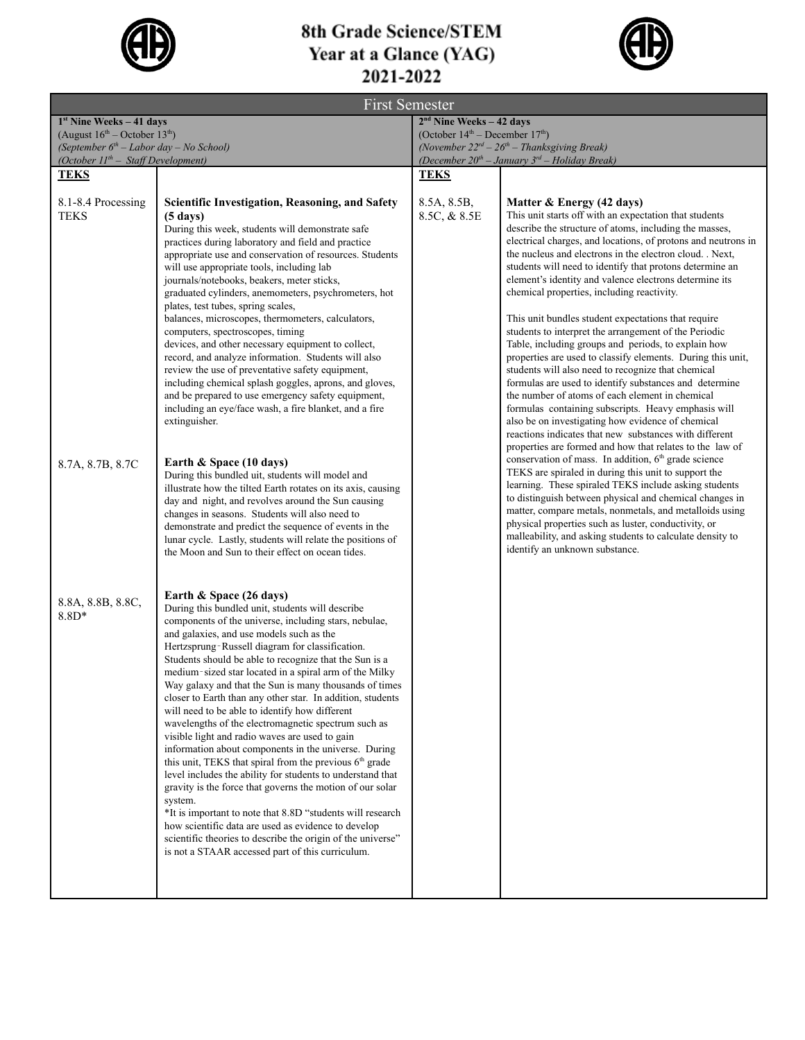

## 8th Grade Science/STEM Year at a Glance (YAG)<br>2021-2022



| <b>First Semester</b>                     |                                                                                                                             |                                                     |                                                                                                                    |  |  |
|-------------------------------------------|-----------------------------------------------------------------------------------------------------------------------------|-----------------------------------------------------|--------------------------------------------------------------------------------------------------------------------|--|--|
| $1st$ Nine Weeks - 41 days                |                                                                                                                             | $2nd$ Nine Weeks - 42 days                          |                                                                                                                    |  |  |
| (August $16^{th}$ – October $13^{th}$ )   |                                                                                                                             | (October $14th$ – December $17th$ )                 |                                                                                                                    |  |  |
| (September $6th$ – Labor day – No School) |                                                                                                                             | (November $22^{rd} - 26^{th} -$ Thanksgiving Break) |                                                                                                                    |  |  |
| (October $II^{th}$ – Staff Development)   |                                                                                                                             |                                                     | (December $20^{th}$ – January $3^{rd}$ – Holiday Break)                                                            |  |  |
| <b>TEKS</b>                               |                                                                                                                             | <b>TEKS</b>                                         |                                                                                                                    |  |  |
| 8.1-8.4 Processing                        | Scientific Investigation, Reasoning, and Safety                                                                             | 8.5A, 8.5B,                                         | Matter & Energy (42 days)                                                                                          |  |  |
| <b>TEKS</b>                               | $(5 \text{ days})$                                                                                                          | 8.5C, & 8.5E                                        | This unit starts off with an expectation that students                                                             |  |  |
|                                           | During this week, students will demonstrate safe                                                                            |                                                     | describe the structure of atoms, including the masses,                                                             |  |  |
|                                           | practices during laboratory and field and practice                                                                          |                                                     | electrical charges, and locations, of protons and neutrons in                                                      |  |  |
|                                           | appropriate use and conservation of resources. Students                                                                     |                                                     | the nucleus and electrons in the electron cloud. . Next,                                                           |  |  |
|                                           | will use appropriate tools, including lab<br>journals/notebooks, beakers, meter sticks,                                     |                                                     | students will need to identify that protons determine an<br>element's identity and valence electrons determine its |  |  |
|                                           | graduated cylinders, anemometers, psychrometers, hot                                                                        |                                                     | chemical properties, including reactivity.                                                                         |  |  |
|                                           | plates, test tubes, spring scales,                                                                                          |                                                     |                                                                                                                    |  |  |
|                                           | balances, microscopes, thermometers, calculators,                                                                           |                                                     | This unit bundles student expectations that require                                                                |  |  |
|                                           | computers, spectroscopes, timing                                                                                            |                                                     | students to interpret the arrangement of the Periodic                                                              |  |  |
|                                           | devices, and other necessary equipment to collect,<br>record, and analyze information. Students will also                   |                                                     | Table, including groups and periods, to explain how<br>properties are used to classify elements. During this unit, |  |  |
|                                           | review the use of preventative safety equipment,                                                                            |                                                     | students will also need to recognize that chemical                                                                 |  |  |
|                                           | including chemical splash goggles, aprons, and gloves,                                                                      |                                                     | formulas are used to identify substances and determine                                                             |  |  |
|                                           | and be prepared to use emergency safety equipment,                                                                          |                                                     | the number of atoms of each element in chemical                                                                    |  |  |
|                                           | including an eye/face wash, a fire blanket, and a fire<br>extinguisher.                                                     |                                                     | formulas containing subscripts. Heavy emphasis will<br>also be on investigating how evidence of chemical           |  |  |
|                                           |                                                                                                                             |                                                     | reactions indicates that new substances with different                                                             |  |  |
|                                           |                                                                                                                             |                                                     | properties are formed and how that relates to the law of                                                           |  |  |
| 8.7A, 8.7B, 8.7C                          | Earth & Space (10 days)                                                                                                     |                                                     | conservation of mass. In addition, 6 <sup>th</sup> grade science                                                   |  |  |
|                                           | During this bundled uit, students will model and                                                                            |                                                     | TEKS are spiraled in during this unit to support the                                                               |  |  |
|                                           | illustrate how the tilted Earth rotates on its axis, causing                                                                |                                                     | learning. These spiraled TEKS include asking students<br>to distinguish between physical and chemical changes in   |  |  |
|                                           | day and night, and revolves around the Sun causing<br>changes in seasons. Students will also need to                        |                                                     | matter, compare metals, nonmetals, and metalloids using                                                            |  |  |
|                                           | demonstrate and predict the sequence of events in the                                                                       |                                                     | physical properties such as luster, conductivity, or                                                               |  |  |
|                                           | lunar cycle. Lastly, students will relate the positions of                                                                  |                                                     | malleability, and asking students to calculate density to                                                          |  |  |
|                                           | the Moon and Sun to their effect on ocean tides.                                                                            |                                                     | identify an unknown substance.                                                                                     |  |  |
|                                           |                                                                                                                             |                                                     |                                                                                                                    |  |  |
|                                           |                                                                                                                             |                                                     |                                                                                                                    |  |  |
| 8.8A, 8.8B, 8.8C,                         | Earth $\&$ Space (26 days)<br>During this bundled unit, students will describe                                              |                                                     |                                                                                                                    |  |  |
| $8.8D*$                                   | components of the universe, including stars, nebulae,                                                                       |                                                     |                                                                                                                    |  |  |
|                                           | and galaxies, and use models such as the                                                                                    |                                                     |                                                                                                                    |  |  |
|                                           | Hertzsprung-Russell diagram for classification.                                                                             |                                                     |                                                                                                                    |  |  |
|                                           | Students should be able to recognize that the Sun is a                                                                      |                                                     |                                                                                                                    |  |  |
|                                           | medium-sized star located in a spiral arm of the Milky<br>Way galaxy and that the Sun is many thousands of times            |                                                     |                                                                                                                    |  |  |
|                                           | closer to Earth than any other star. In addition, students                                                                  |                                                     |                                                                                                                    |  |  |
|                                           | will need to be able to identify how different                                                                              |                                                     |                                                                                                                    |  |  |
|                                           | wavelengths of the electromagnetic spectrum such as                                                                         |                                                     |                                                                                                                    |  |  |
|                                           | visible light and radio waves are used to gain                                                                              |                                                     |                                                                                                                    |  |  |
|                                           | information about components in the universe. During<br>this unit, TEKS that spiral from the previous 6 <sup>th</sup> grade |                                                     |                                                                                                                    |  |  |
|                                           | level includes the ability for students to understand that                                                                  |                                                     |                                                                                                                    |  |  |
|                                           | gravity is the force that governs the motion of our solar                                                                   |                                                     |                                                                                                                    |  |  |
|                                           | system.                                                                                                                     |                                                     |                                                                                                                    |  |  |
|                                           | *It is important to note that 8.8D "students will research                                                                  |                                                     |                                                                                                                    |  |  |
|                                           | how scientific data are used as evidence to develop<br>scientific theories to describe the origin of the universe"          |                                                     |                                                                                                                    |  |  |
|                                           | is not a STAAR accessed part of this curriculum.                                                                            |                                                     |                                                                                                                    |  |  |
|                                           |                                                                                                                             |                                                     |                                                                                                                    |  |  |
|                                           |                                                                                                                             |                                                     |                                                                                                                    |  |  |
|                                           |                                                                                                                             |                                                     |                                                                                                                    |  |  |